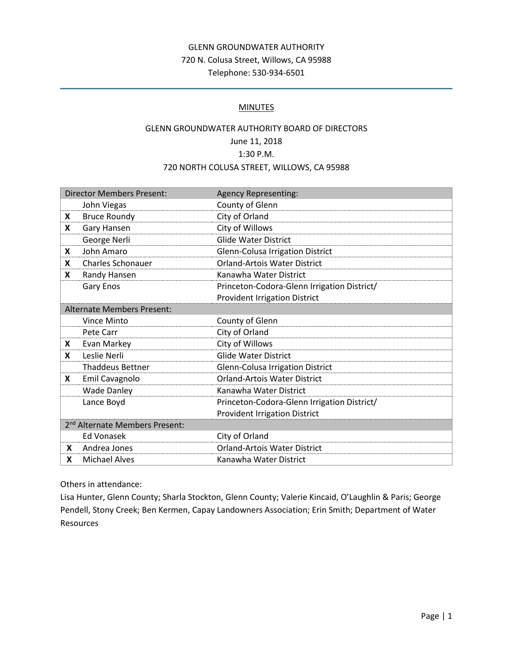# GLENN GROUNDWATER AUTHORITY 720 N. Colusa Street, Willows, CA 95988 Telephone: 530-934-6501

### **MINUTES**

# GLENN GROUNDWATER AUTHORITY BOARD OF DIRECTORS June 11, 2018 1:30 P.M. 720 NORTH COLUSA STREET, WILLOWS, CA 95988

| <b>Director Members Present:</b>           |                          | <b>Agency Representing:</b>                 |
|--------------------------------------------|--------------------------|---------------------------------------------|
|                                            | John Viegas              | County of Glenn                             |
| X                                          | <b>Bruce Roundy</b>      | City of Orland                              |
| X                                          | Gary Hansen              | City of Willows                             |
|                                            | George Nerli             | <b>Glide Water District</b>                 |
| X                                          | John Amaro               | Glenn-Colusa Irrigation District            |
| X                                          | <b>Charles Schonauer</b> | <b>Orland-Artois Water District</b>         |
| X                                          | Randy Hansen             | Kanawha Water District                      |
|                                            | Gary Enos                | Princeton-Codora-Glenn Irrigation District/ |
|                                            |                          | <b>Provident Irrigation District</b>        |
| <b>Alternate Members Present:</b>          |                          |                                             |
|                                            | Vince Minto              | County of Glenn                             |
|                                            | Pete Carr                | City of Orland                              |
| X                                          | Evan Markey              | City of Willows                             |
| X                                          | Leslie Nerli             | <b>Glide Water District</b>                 |
|                                            | <b>Thaddeus Bettner</b>  | <b>Glenn-Colusa Irrigation District</b>     |
| X                                          | Emil Cavagnolo           | <b>Orland-Artois Water District</b>         |
|                                            | <b>Wade Danley</b>       | Kanawha Water District                      |
|                                            | Lance Boyd               | Princeton-Codora-Glenn Irrigation District/ |
|                                            |                          | <b>Provident Irrigation District</b>        |
| 2 <sup>nd</sup> Alternate Members Present: |                          |                                             |
|                                            | <b>Ed Vonasek</b>        | City of Orland                              |
| <b>X</b>                                   | Andrea Jones             | Orland-Artois Water District                |
| X                                          | <b>Michael Alves</b>     | Kanawha Water District                      |

Others in attendance:

Lisa Hunter, Glenn County; Sharla Stockton, Glenn County; Valerie Kincaid, O'Laughlin & Paris; George Pendell, Stony Creek; Ben Kermen, Capay Landowners Association; Erin Smith; Department of Water Resources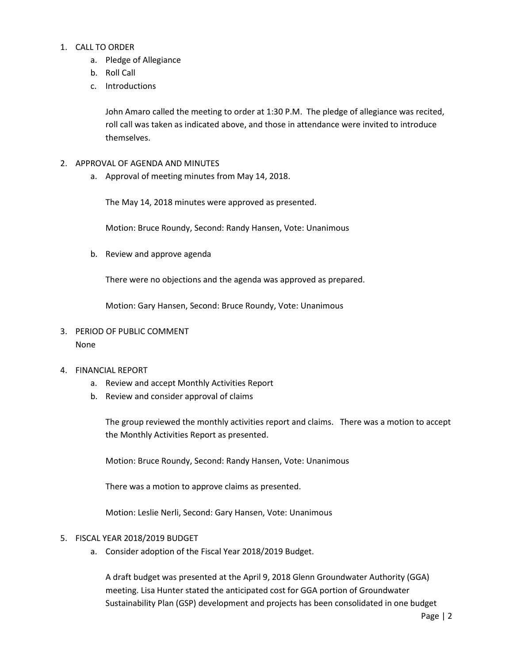### 1. CALL TO ORDER

- a. Pledge of Allegiance
- b. Roll Call
- c. Introductions

John Amaro called the meeting to order at 1:30 P.M. The pledge of allegiance was recited, roll call was taken as indicated above, and those in attendance were invited to introduce themselves.

- 2. APPROVAL OF AGENDA AND MINUTES
	- a. Approval of meeting minutes from May 14, 2018.

The May 14, 2018 minutes were approved as presented.

Motion: Bruce Roundy, Second: Randy Hansen, Vote: Unanimous

b. Review and approve agenda

There were no objections and the agenda was approved as prepared.

Motion: Gary Hansen, Second: Bruce Roundy, Vote: Unanimous

## 3. PERIOD OF PUBLIC COMMENT None

#### 4. FINANCIAL REPORT

- a. Review and accept Monthly Activities Report
- b. Review and consider approval of claims

The group reviewed the monthly activities report and claims. There was a motion to accept the Monthly Activities Report as presented.

Motion: Bruce Roundy, Second: Randy Hansen, Vote: Unanimous

There was a motion to approve claims as presented.

Motion: Leslie Nerli, Second: Gary Hansen, Vote: Unanimous

#### 5. FISCAL YEAR 2018/2019 BUDGET

a. Consider adoption of the Fiscal Year 2018/2019 Budget.

A draft budget was presented at the April 9, 2018 Glenn Groundwater Authority (GGA) meeting. Lisa Hunter stated the anticipated cost for GGA portion of Groundwater Sustainability Plan (GSP) development and projects has been consolidated in one budget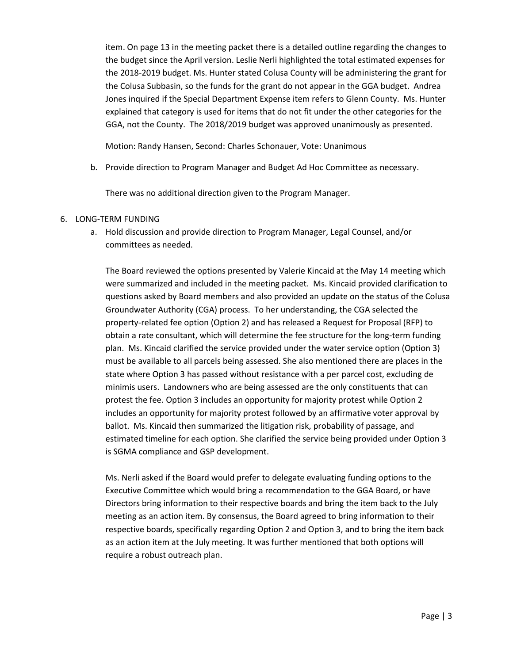item. On page 13 in the meeting packet there is a detailed outline regarding the changes to the budget since the April version. Leslie Nerli highlighted the total estimated expenses for the 2018-2019 budget. Ms. Hunter stated Colusa County will be administering the grant for the Colusa Subbasin, so the funds for the grant do not appear in the GGA budget. Andrea Jones inquired if the Special Department Expense item refers to Glenn County. Ms. Hunter explained that category is used for items that do not fit under the other categories for the GGA, not the County. The 2018/2019 budget was approved unanimously as presented.

Motion: Randy Hansen, Second: Charles Schonauer, Vote: Unanimous

b. Provide direction to Program Manager and Budget Ad Hoc Committee as necessary.

There was no additional direction given to the Program Manager.

#### 6. LONG-TERM FUNDING

a. Hold discussion and provide direction to Program Manager, Legal Counsel, and/or committees as needed.

The Board reviewed the options presented by Valerie Kincaid at the May 14 meeting which were summarized and included in the meeting packet. Ms. Kincaid provided clarification to questions asked by Board members and also provided an update on the status of the Colusa Groundwater Authority (CGA) process. To her understanding, the CGA selected the property-related fee option (Option 2) and has released a Request for Proposal (RFP) to obtain a rate consultant, which will determine the fee structure for the long-term funding plan. Ms. Kincaid clarified the service provided under the water service option (Option 3) must be available to all parcels being assessed. She also mentioned there are places in the state where Option 3 has passed without resistance with a per parcel cost, excluding de minimis users. Landowners who are being assessed are the only constituents that can protest the fee. Option 3 includes an opportunity for majority protest while Option 2 includes an opportunity for majority protest followed by an affirmative voter approval by ballot. Ms. Kincaid then summarized the litigation risk, probability of passage, and estimated timeline for each option. She clarified the service being provided under Option 3 is SGMA compliance and GSP development.

Ms. Nerli asked if the Board would prefer to delegate evaluating funding options to the Executive Committee which would bring a recommendation to the GGA Board, or have Directors bring information to their respective boards and bring the item back to the July meeting as an action item. By consensus, the Board agreed to bring information to their respective boards, specifically regarding Option 2 and Option 3, and to bring the item back as an action item at the July meeting. It was further mentioned that both options will require a robust outreach plan.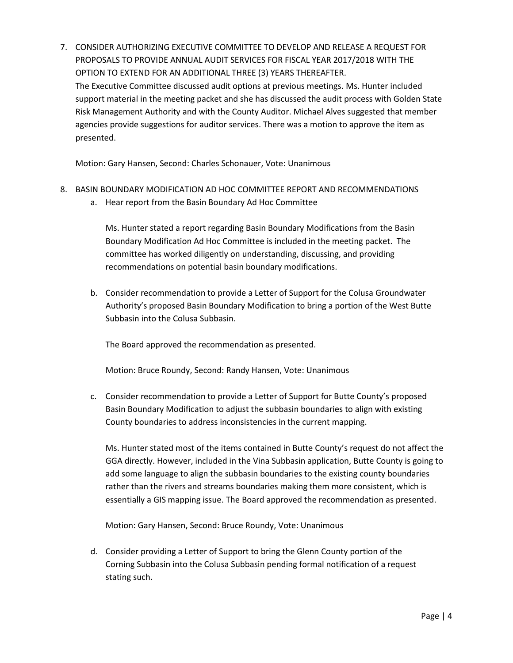7. CONSIDER AUTHORIZING EXECUTIVE COMMITTEE TO DEVELOP AND RELEASE A REQUEST FOR PROPOSALS TO PROVIDE ANNUAL AUDIT SERVICES FOR FISCAL YEAR 2017/2018 WITH THE OPTION TO EXTEND FOR AN ADDITIONAL THREE (3) YEARS THEREAFTER. The Executive Committee discussed audit options at previous meetings. Ms. Hunter included support material in the meeting packet and she has discussed the audit process with Golden State Risk Management Authority and with the County Auditor. Michael Alves suggested that member agencies provide suggestions for auditor services. There was a motion to approve the item as presented.

Motion: Gary Hansen, Second: Charles Schonauer, Vote: Unanimous

- 8. BASIN BOUNDARY MODIFICATION AD HOC COMMITTEE REPORT AND RECOMMENDATIONS
	- a. Hear report from the Basin Boundary Ad Hoc Committee

Ms. Hunter stated a report regarding Basin Boundary Modifications from the Basin Boundary Modification Ad Hoc Committee is included in the meeting packet. The committee has worked diligently on understanding, discussing, and providing recommendations on potential basin boundary modifications.

b. Consider recommendation to provide a Letter of Support for the Colusa Groundwater Authority's proposed Basin Boundary Modification to bring a portion of the West Butte Subbasin into the Colusa Subbasin.

The Board approved the recommendation as presented.

Motion: Bruce Roundy, Second: Randy Hansen, Vote: Unanimous

c. Consider recommendation to provide a Letter of Support for Butte County's proposed Basin Boundary Modification to adjust the subbasin boundaries to align with existing County boundaries to address inconsistencies in the current mapping.

Ms. Hunter stated most of the items contained in Butte County's request do not affect the GGA directly. However, included in the Vina Subbasin application, Butte County is going to add some language to align the subbasin boundaries to the existing county boundaries rather than the rivers and streams boundaries making them more consistent, which is essentially a GIS mapping issue. The Board approved the recommendation as presented.

Motion: Gary Hansen, Second: Bruce Roundy, Vote: Unanimous

d. Consider providing a Letter of Support to bring the Glenn County portion of the Corning Subbasin into the Colusa Subbasin pending formal notification of a request stating such.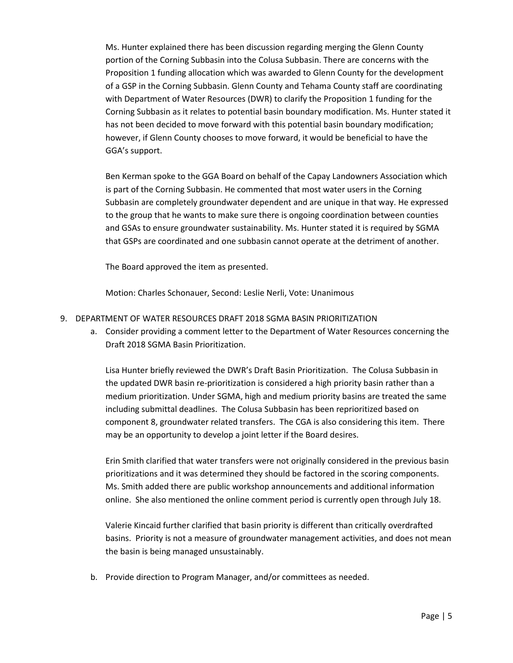Ms. Hunter explained there has been discussion regarding merging the Glenn County portion of the Corning Subbasin into the Colusa Subbasin. There are concerns with the Proposition 1 funding allocation which was awarded to Glenn County for the development of a GSP in the Corning Subbasin. Glenn County and Tehama County staff are coordinating with Department of Water Resources (DWR) to clarify the Proposition 1 funding for the Corning Subbasin as it relates to potential basin boundary modification. Ms. Hunter stated it has not been decided to move forward with this potential basin boundary modification; however, if Glenn County chooses to move forward, it would be beneficial to have the GGA's support.

Ben Kerman spoke to the GGA Board on behalf of the Capay Landowners Association which is part of the Corning Subbasin. He commented that most water users in the Corning Subbasin are completely groundwater dependent and are unique in that way. He expressed to the group that he wants to make sure there is ongoing coordination between counties and GSAs to ensure groundwater sustainability. Ms. Hunter stated it is required by SGMA that GSPs are coordinated and one subbasin cannot operate at the detriment of another.

The Board approved the item as presented.

Motion: Charles Schonauer, Second: Leslie Nerli, Vote: Unanimous

- 9. DEPARTMENT OF WATER RESOURCES DRAFT 2018 SGMA BASIN PRIORITIZATION
	- a. Consider providing a comment letter to the Department of Water Resources concerning the Draft 2018 SGMA Basin Prioritization.

Lisa Hunter briefly reviewed the DWR's Draft Basin Prioritization. The Colusa Subbasin in the updated DWR basin re-prioritization is considered a high priority basin rather than a medium prioritization. Under SGMA, high and medium priority basins are treated the same including submittal deadlines. The Colusa Subbasin has been reprioritized based on component 8, groundwater related transfers. The CGA is also considering this item. There may be an opportunity to develop a joint letter if the Board desires.

Erin Smith clarified that water transfers were not originally considered in the previous basin prioritizations and it was determined they should be factored in the scoring components. Ms. Smith added there are public workshop announcements and additional information online. She also mentioned the online comment period is currently open through July 18.

Valerie Kincaid further clarified that basin priority is different than critically overdrafted basins. Priority is not a measure of groundwater management activities, and does not mean the basin is being managed unsustainably.

b. Provide direction to Program Manager, and/or committees as needed.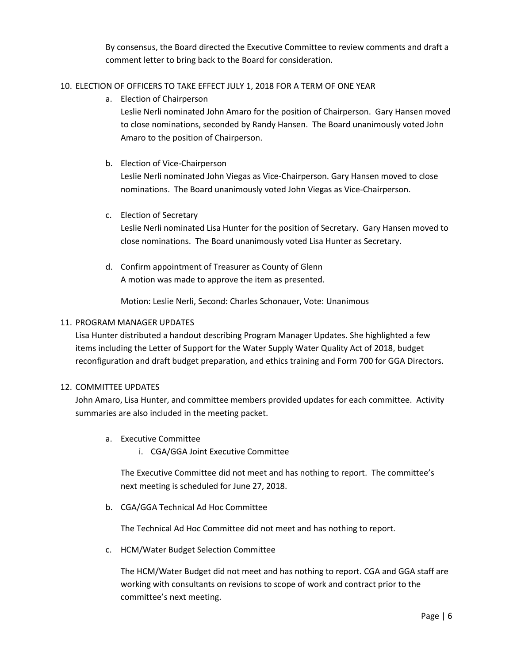By consensus, the Board directed the Executive Committee to review comments and draft a comment letter to bring back to the Board for consideration.

## 10. ELECTION OF OFFICERS TO TAKE EFFECT JULY 1, 2018 FOR A TERM OF ONE YEAR

a. Election of Chairperson

Leslie Nerli nominated John Amaro for the position of Chairperson. Gary Hansen moved to close nominations, seconded by Randy Hansen. The Board unanimously voted John Amaro to the position of Chairperson.

b. Election of Vice-Chairperson

Leslie Nerli nominated John Viegas as Vice-Chairperson. Gary Hansen moved to close nominations. The Board unanimously voted John Viegas as Vice-Chairperson.

c. Election of Secretary

Leslie Nerli nominated Lisa Hunter for the position of Secretary. Gary Hansen moved to close nominations. The Board unanimously voted Lisa Hunter as Secretary.

d. Confirm appointment of Treasurer as County of Glenn A motion was made to approve the item as presented.

Motion: Leslie Nerli, Second: Charles Schonauer, Vote: Unanimous

### 11. PROGRAM MANAGER UPDATES

Lisa Hunter distributed a handout describing Program Manager Updates. She highlighted a few items including the Letter of Support for the Water Supply Water Quality Act of 2018, budget reconfiguration and draft budget preparation, and ethics training and Form 700 for GGA Directors.

### 12. COMMITTEE UPDATES

John Amaro, Lisa Hunter, and committee members provided updates for each committee. Activity summaries are also included in the meeting packet.

- a. Executive Committee
	- i. CGA/GGA Joint Executive Committee

The Executive Committee did not meet and has nothing to report. The committee's next meeting is scheduled for June 27, 2018.

b. CGA/GGA Technical Ad Hoc Committee

The Technical Ad Hoc Committee did not meet and has nothing to report.

c. HCM/Water Budget Selection Committee

The HCM/Water Budget did not meet and has nothing to report. CGA and GGA staff are working with consultants on revisions to scope of work and contract prior to the committee's next meeting.